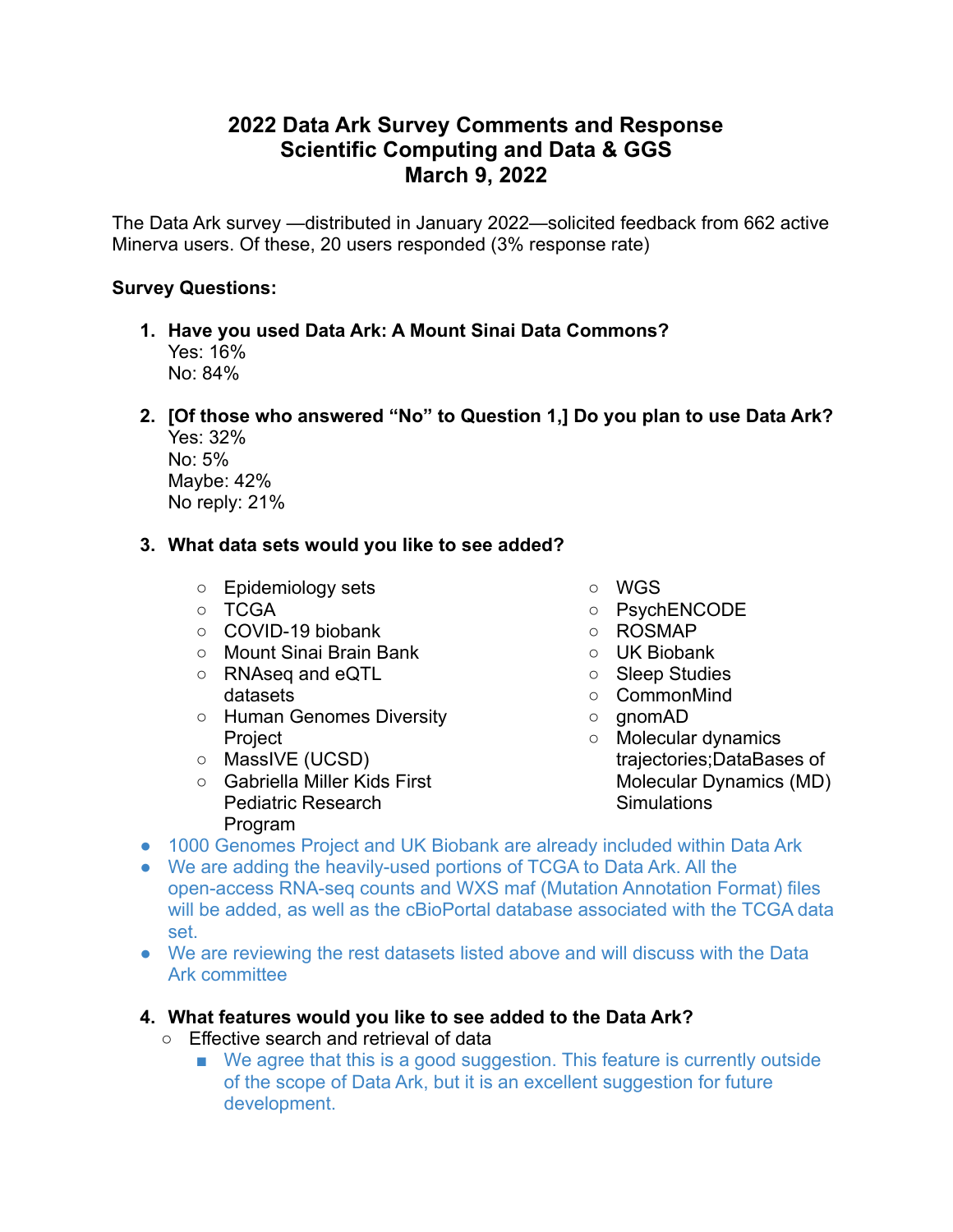# **2022 Data Ark Survey Comments and Response Scientific Computing and Data & GGS March 9, 2022**

The Data Ark survey —distributed in January 2022—solicited feedback from 662 active Minerva users. Of these, 20 users responded (3% response rate)

### **Survey Questions:**

- **1. Have you used Data Ark: A Mount Sinai Data Commons?** Yes: 16% No: 84%
- **2. [Of those who answered "No" to Question 1,] Do you plan to use Data Ark?**

| Yes: 32%      |
|---------------|
| No: 5%        |
| Maybe: 42%    |
| No reply: 21% |

## **3. What data sets would you like to see added?**

- Epidemiology sets
- TCGA
- COVID-19 biobank
- Mount Sinai Brain Bank
- RNAseq and eQTL datasets
- Human Genomes Diversity **Project**
- MassIVE (UCSD)
- Gabriella Miller Kids First Pediatric Research Program
- WGS
- PsychENCODE
- ROSMAP
- UK Biobank
- Sleep Studies
- CommonMind
- gnomAD
- Molecular dynamics trajectories;DataBases of Molecular Dynamics (MD) **Simulations**
- 1000 Genomes Project and UK Biobank are already included within Data Ark
- We are adding the heavily-used portions of TCGA to Data Ark. All the open-access RNA-seq counts and WXS maf (Mutation Annotation Format) files will be added, as well as the cBioPortal database associated with the TCGA data set.
- We are reviewing the rest datasets listed above and will discuss with the Data Ark committee

## **4. What features would you like to see added to the Data Ark?**

- Effective search and retrieval of data
	- We agree that this is a good suggestion. This feature is currently outside of the scope of Data Ark, but it is an excellent suggestion for future development.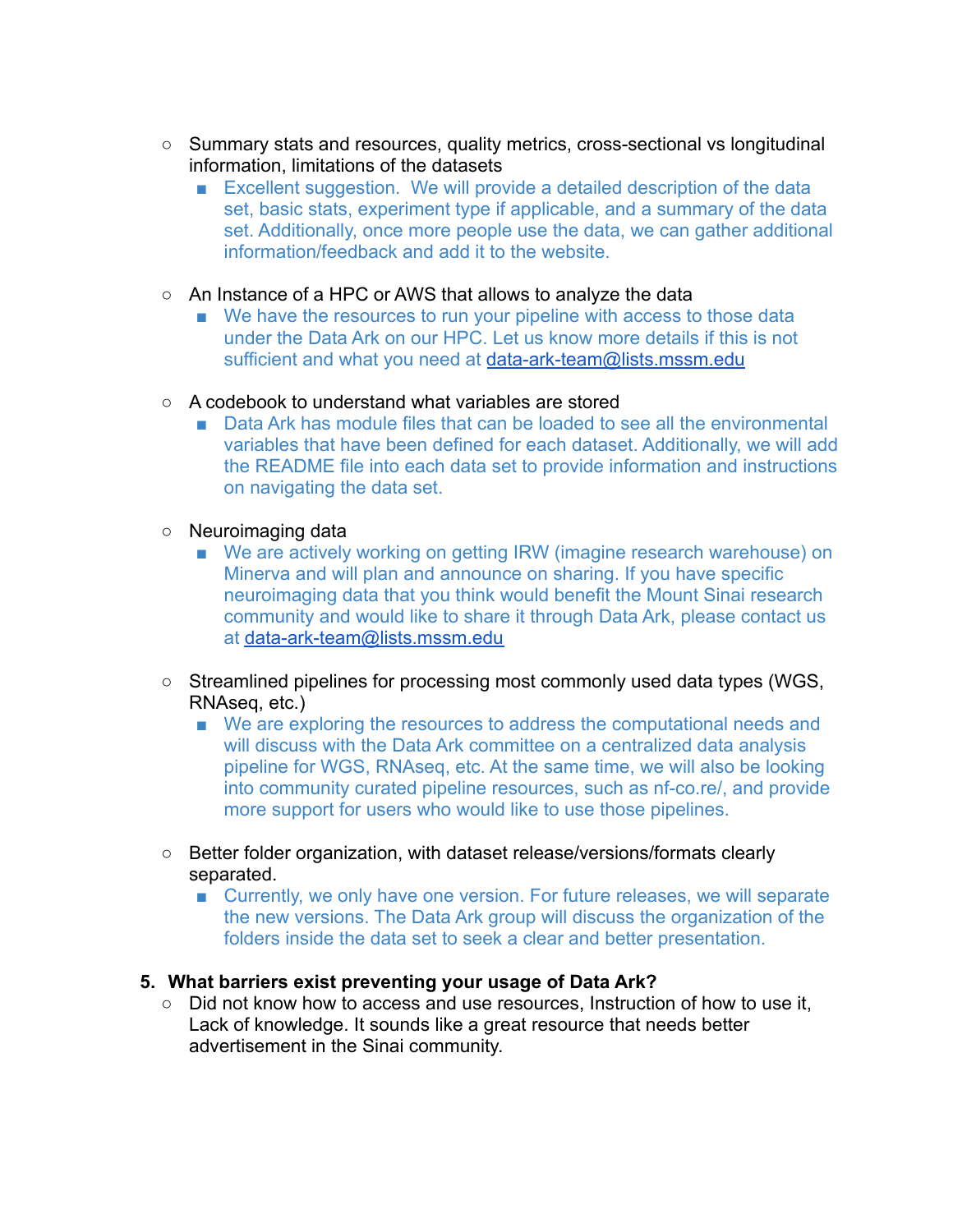- Summary stats and resources, quality metrics, cross-sectional vs longitudinal information, limitations of the datasets
	- Excellent suggestion. We will provide a detailed description of the data set, basic stats, experiment type if applicable, and a summary of the data set. Additionally, once more people use the data, we can gather additional information/feedback and add it to the website.
- An Instance of a HPC or AWS that allows to analyze the data
	- We have the resources to run your pipeline with access to those data under the Data Ark on our HPC. Let us know more details if this is not sufficient and what you need at [data-ark-team@lists.mssm.edu](mailto:data-ark-team@lists.mssm.edu)
- A codebook to understand what variables are stored
	- Data Ark has module files that can be loaded to see all the environmental variables that have been defined for each dataset. Additionally, we will add the README file into each data set to provide information and instructions on navigating the data set.
- Neuroimaging data
	- We are actively working on getting IRW (imagine research warehouse) on Minerva and will plan and announce on sharing. If you have specific neuroimaging data that you think would benefit the Mount Sinai research community and would like to share it through Data Ark, please contact us at [data-ark-team@lists.mssm.edu](mailto:data-ark-team@lists.mssm.edu)
- Streamlined pipelines for processing most commonly used data types (WGS, RNAseq, etc.)
	- We are exploring the resources to address the computational needs and will discuss with the Data Ark committee on a centralized data analysis pipeline for WGS, RNAseq, etc. At the same time, we will also be looking into community curated pipeline resources, such as nf-co.re/, and provide more support for users who would like to use those pipelines.
- Better folder organization, with dataset release/versions/formats clearly separated.
	- Currently, we only have one version. For future releases, we will separate the new versions. The Data Ark group will discuss the organization of the folders inside the data set to seek a clear and better presentation.

#### **5. What barriers exist preventing your usage of Data Ark?**

○ Did not know how to access and use resources, Instruction of how to use it, Lack of knowledge. It sounds like a great resource that needs better advertisement in the Sinai community.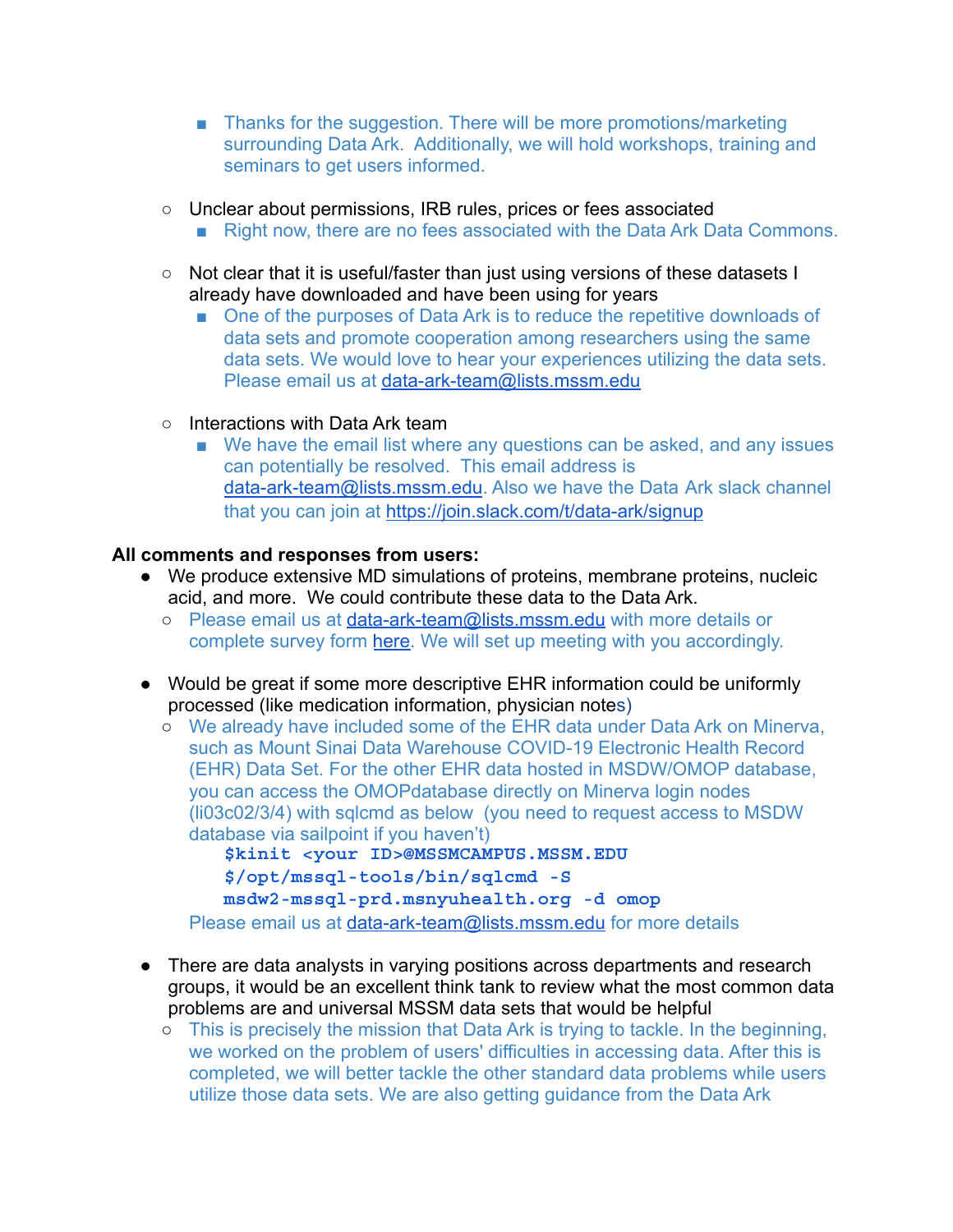- Thanks for the suggestion. There will be more promotions/marketing surrounding Data Ark. Additionally, we will hold workshops, training and seminars to get users informed.
- Unclear about permissions, IRB rules, prices or fees associated
	- Right now, there are no fees associated with the Data Ark Data Commons.
- Not clear that it is useful/faster than just using versions of these datasets I already have downloaded and have been using for years
	- One of the purposes of Data Ark is to reduce the repetitive downloads of data sets and promote cooperation among researchers using the same data sets. We would love to hear your experiences utilizing the data sets. Please email us at [data-ark-team@lists.mssm.edu](mailto:data-ark-team@lists.mssm.edu)
- Interactions with Data Ark team
	- We have the email list where any questions can be asked, and any issues can potentially be resolved. This email address is [data-ark-team@lists.mssm.edu](mailto:data-ark-team@lists.mssm.edu). Also we have the Data Ark slack channel that you can join at <https://join.slack.com/t/data-ark/signup>

#### **All comments and responses from users:**

- We produce extensive MD simulations of proteins, membrane proteins, nucleic acid, and more. We could contribute these data to the Data Ark.
	- o Please email us at [data-ark-team@lists.mssm.edu](mailto:data-ark-team@lists.mssm.edu) with more details or complete survey form [here.](https://redcap.mountsinai.org/redcap/surveys/?s=PCNDC9HRCAF4XJJ3) We will set up meeting with you accordingly.
- Would be great if some more descriptive EHR information could be uniformly processed (like medication information, physician notes)
	- We already have included some of the EHR data under Data Ark on Minerva, such as Mount Sinai Data Warehouse COVID-19 Electronic Health Record (EHR) Data Set. For the other EHR data hosted in MSDW/OMOP database, you can access the OMOPdatabase directly on Minerva login nodes (li03c02/3/4) with sqlcmd as below (you need to request access to MSDW database via sailpoint if you haven't)

**\$kinit <your ID>@MSSMCAMPUS.MSSM.EDU \$/opt/mssql-tools/bin/sqlcmd -S [msdw2-mssql-prd.msnyuhealth.org](http://msdw2-mssql-prd.msnyuhealth.org/) -d omop**

Please email us at [data-ark-team@lists.mssm.edu](mailto:data-ark-team@lists.mssm.edu) for more details

- There are data analysts in varying positions across departments and research groups, it would be an excellent think tank to review what the most common data problems are and universal MSSM data sets that would be helpful
	- This is precisely the mission that Data Ark is trying to tackle. In the beginning, we worked on the problem of users' difficulties in accessing data. After this is completed, we will better tackle the other standard data problems while users utilize those data sets. We are also getting guidance from the Data Ark